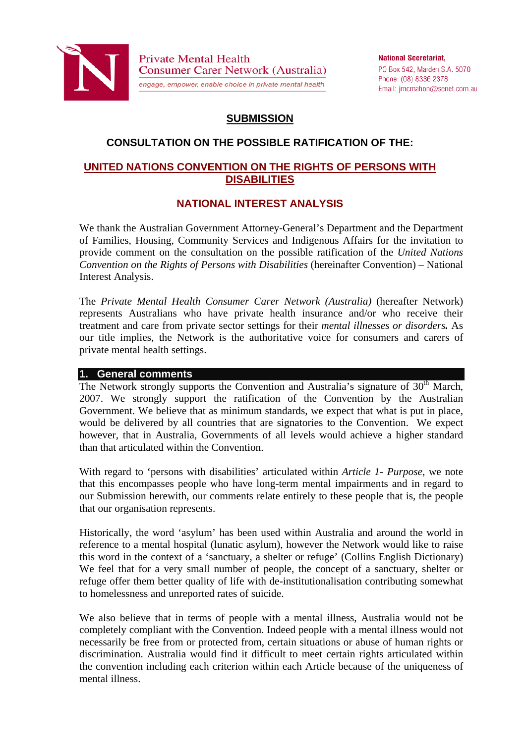

**Private Mental Health** Consumer Carer Network (Australia) engage, empower, enable choice in private mental health

**National Secretariat.** PO Box 542, Marden S.A. 5070 Phone: (08) 8336 2378 Email: jmcmahon@senet.com.au

# **SUBMISSION**

# **CONSULTATION ON THE POSSIBLE RATIFICATION OF THE:**

## **UNITED NATIONS CONVENTION ON THE RIGHTS OF PERSONS WITH DISABILITIES**

## **NATIONAL INTEREST ANALYSIS**

We thank the Australian Government Attorney-General's Department and the Department of Families, Housing, Community Services and Indigenous Affairs for the invitation to provide comment on the consultation on the possible ratification of the *United Nations Convention on the Rights of Persons with Disabilities* (hereinafter Convention) – National Interest Analysis.

The *Private Mental Health Consumer Carer Network (Australia)* (hereafter Network) represents Australians who have private health insurance and/or who receive their treatment and care from private sector settings for their *mental illnesses or disorders.* As our title implies, the Network is the authoritative voice for consumers and carers of private mental health settings.

## **1. General comments**

The Network strongly supports the Convention and Australia's signature of  $30<sup>th</sup>$  March, 2007. We strongly support the ratification of the Convention by the Australian Government. We believe that as minimum standards, we expect that what is put in place, would be delivered by all countries that are signatories to the Convention. We expect however, that in Australia, Governments of all levels would achieve a higher standard than that articulated within the Convention.

With regard to 'persons with disabilities' articulated within *Article 1- Purpose*, we note that this encompasses people who have long-term mental impairments and in regard to our Submission herewith, our comments relate entirely to these people that is, the people that our organisation represents.

Historically, the word 'asylum' has been used within Australia and around the world in reference to a mental hospital (lunatic asylum), however the Network would like to raise this word in the context of a 'sanctuary, a shelter or refuge' (Collins English Dictionary) We feel that for a very small number of people, the concept of a sanctuary, shelter or refuge offer them better quality of life with de-institutionalisation contributing somewhat to homelessness and unreported rates of suicide.

We also believe that in terms of people with a mental illness, Australia would not be completely compliant with the Convention. Indeed people with a mental illness would not necessarily be free from or protected from, certain situations or abuse of human rights or discrimination. Australia would find it difficult to meet certain rights articulated within the convention including each criterion within each Article because of the uniqueness of mental illness.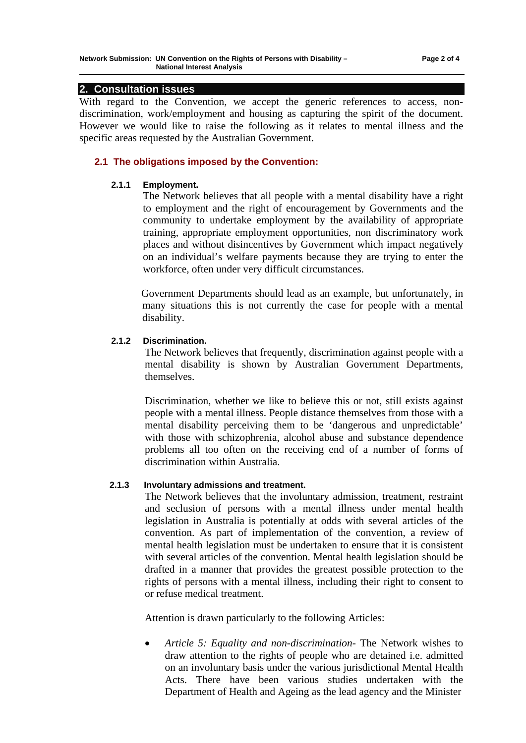## **2. Consultation issues**

With regard to the Convention, we accept the generic references to access, nondiscrimination, work/employment and housing as capturing the spirit of the document. However we would like to raise the following as it relates to mental illness and the specific areas requested by the Australian Government.

### **2.1 The obligations imposed by the Convention:**

#### **2.1.1 Employment.**

The Network believes that all people with a mental disability have a right to employment and the right of encouragement by Governments and the community to undertake employment by the availability of appropriate training, appropriate employment opportunities, non discriminatory work places and without disincentives by Government which impact negatively on an individual's welfare payments because they are trying to enter the workforce, often under very difficult circumstances.

Government Departments should lead as an example, but unfortunately, in many situations this is not currently the case for people with a mental disability.

#### **2.1.2 Discrimination.**

The Network believes that frequently, discrimination against people with a mental disability is shown by Australian Government Departments, themselves.

Discrimination, whether we like to believe this or not, still exists against people with a mental illness. People distance themselves from those with a mental disability perceiving them to be 'dangerous and unpredictable' with those with schizophrenia, alcohol abuse and substance dependence problems all too often on the receiving end of a number of forms of discrimination within Australia.

#### **2.1.3 Involuntary admissions and treatment.**

The Network believes that the involuntary admission, treatment, restraint and seclusion of persons with a mental illness under mental health legislation in Australia is potentially at odds with several articles of the convention. As part of implementation of the convention, a review of mental health legislation must be undertaken to ensure that it is consistent with several articles of the convention. Mental health legislation should be drafted in a manner that provides the greatest possible protection to the rights of persons with a mental illness, including their right to consent to or refuse medical treatment.

Attention is drawn particularly to the following Articles:

 *Article 5: Equality and non-discrimination-* The Network wishes to draw attention to the rights of people who are detained i.e. admitted on an involuntary basis under the various jurisdictional Mental Health Acts. There have been various studies undertaken with the Department of Health and Ageing as the lead agency and the Minister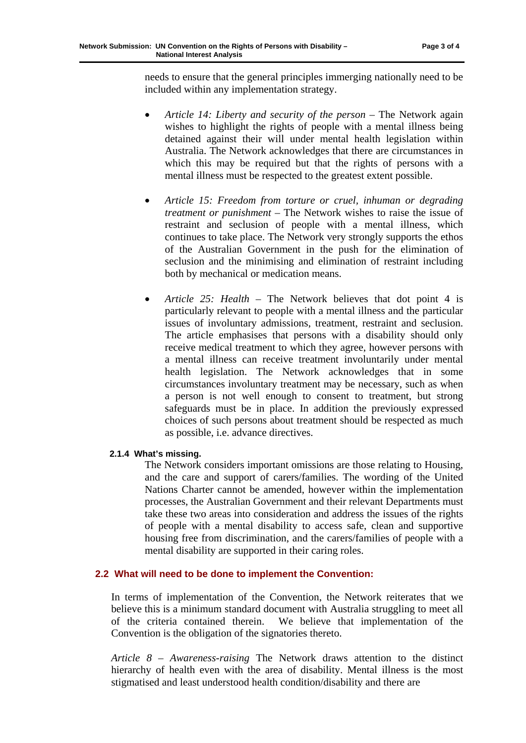needs to ensure that the general principles immerging nationally need to be included within any implementation strategy.

- *Article 14: Liberty and security of the person* The Network again wishes to highlight the rights of people with a mental illness being detained against their will under mental health legislation within Australia. The Network acknowledges that there are circumstances in which this may be required but that the rights of persons with a mental illness must be respected to the greatest extent possible.
- *Article 15: Freedom from torture or cruel, inhuman or degrading treatment or punishment –* The Network wishes to raise the issue of restraint and seclusion of people with a mental illness, which continues to take place. The Network very strongly supports the ethos of the Australian Government in the push for the elimination of seclusion and the minimising and elimination of restraint including both by mechanical or medication means.
- *Article 25: Health* The Network believes that dot point 4 is particularly relevant to people with a mental illness and the particular issues of involuntary admissions, treatment, restraint and seclusion. The article emphasises that persons with a disability should only receive medical treatment to which they agree, however persons with a mental illness can receive treatment involuntarily under mental health legislation. The Network acknowledges that in some circumstances involuntary treatment may be necessary, such as when a person is not well enough to consent to treatment, but strong safeguards must be in place. In addition the previously expressed choices of such persons about treatment should be respected as much as possible, i.e. advance directives.

#### **2.1.4 What's missing.**

The Network considers important omissions are those relating to Housing, and the care and support of carers/families. The wording of the United Nations Charter cannot be amended, however within the implementation processes, the Australian Government and their relevant Departments must take these two areas into consideration and address the issues of the rights of people with a mental disability to access safe, clean and supportive housing free from discrimination, and the carers/families of people with a mental disability are supported in their caring roles.

#### **2.2 What will need to be done to implement the Convention:**

In terms of implementation of the Convention, the Network reiterates that we believe this is a minimum standard document with Australia struggling to meet all of the criteria contained therein. We believe that implementation of the Convention is the obligation of the signatories thereto.

*Article 8 – Awareness-raising* The Network draws attention to the distinct hierarchy of health even with the area of disability. Mental illness is the most stigmatised and least understood health condition/disability and there are